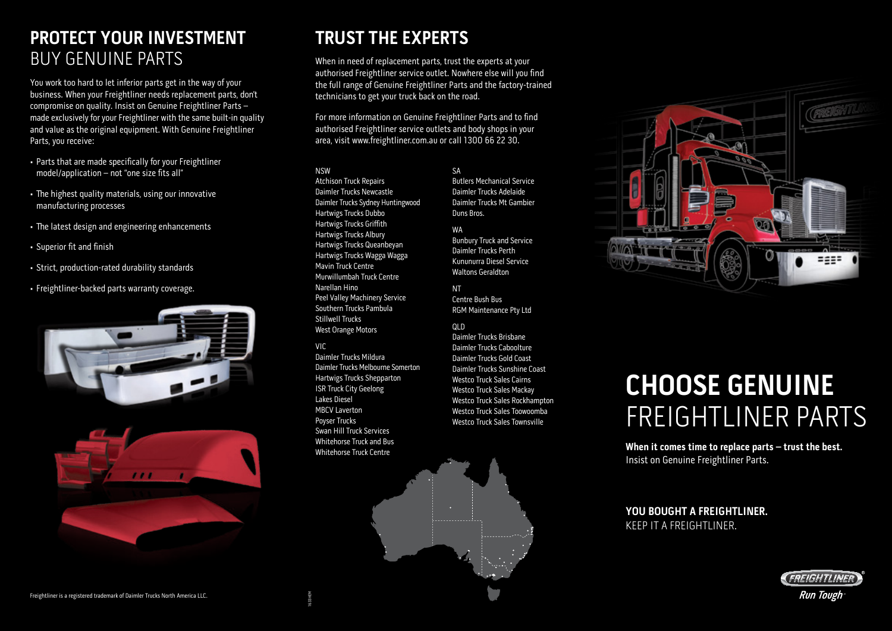# **PROTECT YOUR INVESTMENT** BUY GENUINE PARTS

You work too hard to let inferior parts get in the way of your business. When your Freightliner needs replacement parts, don't compromise on quality. Insist on Genuine Freightliner Parts – made exclusively for your Freightliner with the same built-in quality and value as the original equipment. With Genuine Freightliner Parts, you receive:

- Parts that are made specifically for your Freightliner model/application – not "one size fits all"
- The highest quality materials, using our innovative manufacturing processes
- The latest design and engineering enhancements
- Superior fit and finish
- Strict, production-rated durability standards
- Freightliner-backed parts warranty coverage.





# **TRUST THE EXPERTS**

When in need of replacement parts, trust the experts at your authorised Freightliner service outlet. Nowhere else will you find the full range of Genuine Freightliner Parts and the factory-trained technicians to get your truck back on the road.

For more information on Genuine Freightliner Parts and to find authorised Freightliner service outlets and body shops in your area, visit www.freightliner.com.au or call 1300 66 22 30.

### NSW

Atchison Truck Repairs Daimler Trucks Newcastle Daimler Trucks Sydney Huntingwood Hartwigs Trucks Dubbo Hartwigs Trucks Griffith Hartwigs Trucks Albury Hartwigs Trucks Queanbeyan Hartwigs Trucks Wagga Wagga Mavin Truck Centre Murwillumbah Truck Centre Narellan Hino Peel Valley Machinery Service Southern Trucks Pambula Stillwell Trucks West Orange Motors VIC

#### Daimler Trucks Mildura Daimler Trucks Melbourne Somerton Hartwigs Trucks Shepparton ISR Truck City Geelong Lakes Diesel MBCV Laverton Poyser Trucks Swan Hill Truck Services Whitehorse Truck and Bus Whitehorse Truck Centre

SA Butlers Mechanical Service Daimler Trucks Adelaide Daimler Trucks Mt Gambier Duns Bros.

### WA

Bunbury Truck and Service Daimler Trucks Perth Kununurra Diesel Service Waltons Geraldton

NT Centre Bush Bus RGM Maintenance Pty Ltd

# QLD

Daimler Trucks Brisbane Daimler Trucks Caboolture Daimler Trucks Gold Coast Daimler Trucks Sunshine Coast Westco Truck Sales Cairns Westco Truck Sales Mackay Westco Truck Sales Rockhampton Westco Truck Sales Toowoomba Westco Truck Sales Townsville



# **CHOOSE GENUINE** FREIGHTLINER PARTS

**When it comes time to replace parts – trust the best.** Insist on Genuine Freightliner Parts.

## **YOU BOUGHT A FREIGHTLINER.**  KEEP IT A FREIGHTLINER.



Freightliner is a registered trademark of Daimler Trucks North America LLC.

1633HEM